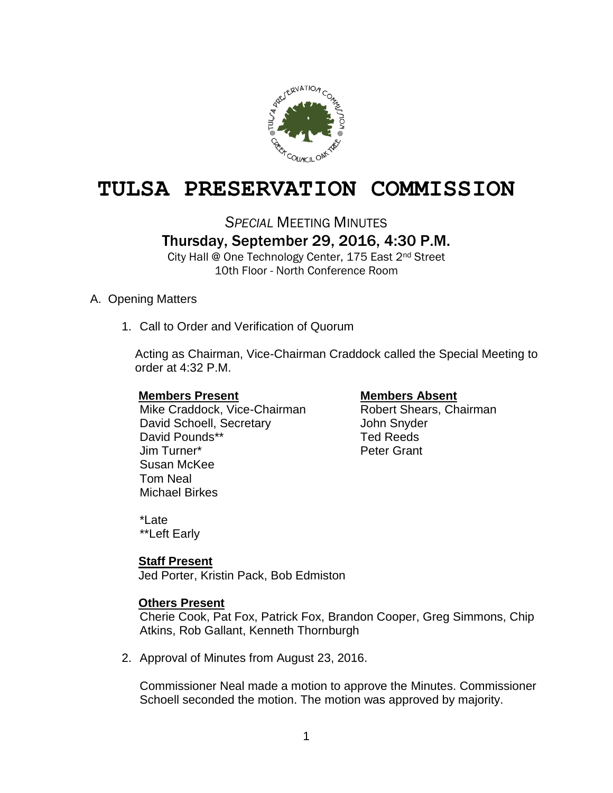

# **TULSA PRESERVATION COMMISSION**

**SPECIAL MEETING MINUTES** 

Thursday, September 29, 2016, 4:30 P.M.

City Hall @ One Technology Center, 175 East 2nd Street 10th Floor - North Conference Room

### A. Opening Matters

1. Call to Order and Verification of Quorum

Acting as Chairman, Vice-Chairman Craddock called the Special Meeting to order at 4:32 P.M.

#### **Members Present Members Absent**

Mike Craddock, Vice-Chairman Robert Shears, Chairman David Schoell, Secretary **Canada and Schoell**, Secretary **John Snyder** David Pounds\*\* Ted Reeds Jim Turner\* The Context of the Peter Grant Susan McKee Tom Neal Michael Birkes

\*Late \*\*Left Early

### **Staff Present**

Jed Porter, Kristin Pack, Bob Edmiston

### **Others Present**

Cherie Cook, Pat Fox, Patrick Fox, Brandon Cooper, Greg Simmons, Chip Atkins, Rob Gallant, Kenneth Thornburgh

2. Approval of Minutes from August 23, 2016.

Commissioner Neal made a motion to approve the Minutes. Commissioner Schoell seconded the motion. The motion was approved by majority.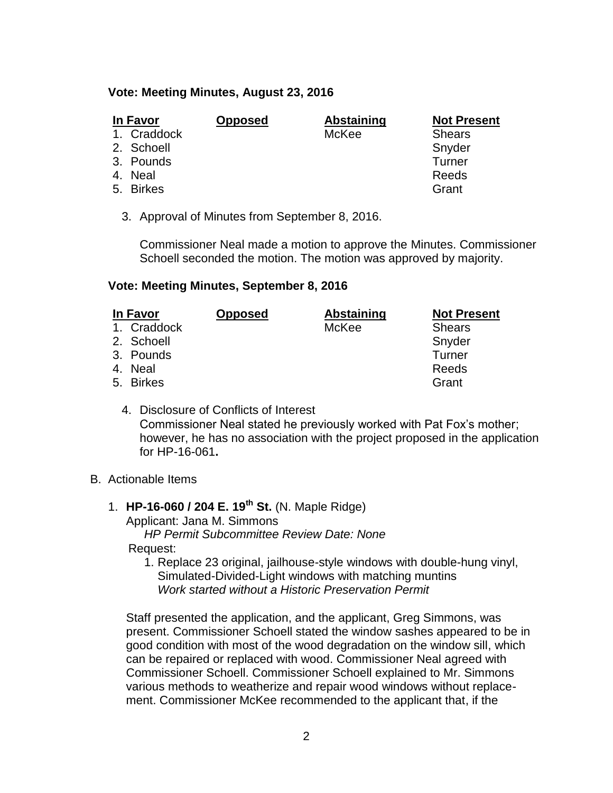#### **Vote: Meeting Minutes, August 23, 2016**

| <b>In Favor</b> |             | <b>Opposed</b> | <b>Abstaining</b> | <b>Not Present</b> |
|-----------------|-------------|----------------|-------------------|--------------------|
|                 | 1. Craddock |                | McKee             | <b>Shears</b>      |
|                 | 2. Schoell  |                |                   | Snyder             |
|                 | 3. Pounds   |                |                   | Turner             |
|                 | 4. Neal     |                |                   | Reeds              |
|                 | 5. Birkes   |                |                   | Grant              |

3. Approval of Minutes from September 8, 2016.

Commissioner Neal made a motion to approve the Minutes. Commissioner Schoell seconded the motion. The motion was approved by majority.

#### **Vote: Meeting Minutes, September 8, 2016**

| In Favor    | <b>Opposed</b> | <b>Abstaining</b> | <b>Not Present</b> |
|-------------|----------------|-------------------|--------------------|
| 1. Craddock |                | McKee             | <b>Shears</b>      |
| 2. Schoell  |                |                   | Snyder             |
| 3. Pounds   |                |                   | Turner             |
| 4. Neal     |                |                   | Reeds              |
| 5. Birkes   |                |                   | Grant              |

- 4. Disclosure of Conflicts of Interest Commissioner Neal stated he previously worked with Pat Fox's mother; however, he has no association with the project proposed in the application for HP-16-061**.**
- B. Actionable Items

# 1. **HP-16-060 / 204 E. 19th St.** (N. Maple Ridge)

Applicant: Jana M. Simmons

*HP Permit Subcommittee Review Date: None*

Request:

1. Replace 23 original, jailhouse-style windows with double-hung vinyl, Simulated-Divided-Light windows with matching muntins *Work started without a Historic Preservation Permit*

Staff presented the application, and the applicant, Greg Simmons, was present. Commissioner Schoell stated the window sashes appeared to be in good condition with most of the wood degradation on the window sill, which can be repaired or replaced with wood. Commissioner Neal agreed with Commissioner Schoell. Commissioner Schoell explained to Mr. Simmons various methods to weatherize and repair wood windows without replacement. Commissioner McKee recommended to the applicant that, if the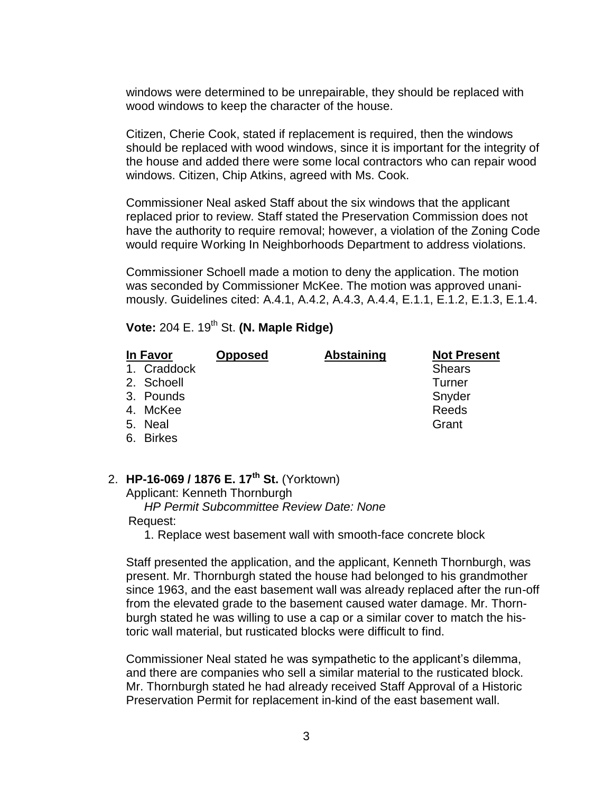windows were determined to be unrepairable, they should be replaced with wood windows to keep the character of the house.

Citizen, Cherie Cook, stated if replacement is required, then the windows should be replaced with wood windows, since it is important for the integrity of the house and added there were some local contractors who can repair wood windows. Citizen, Chip Atkins, agreed with Ms. Cook.

Commissioner Neal asked Staff about the six windows that the applicant replaced prior to review. Staff stated the Preservation Commission does not have the authority to require removal; however, a violation of the Zoning Code would require Working In Neighborhoods Department to address violations.

Commissioner Schoell made a motion to deny the application. The motion was seconded by Commissioner McKee. The motion was approved unanimously. Guidelines cited: A.4.1, A.4.2, A.4.3, A.4.4, E.1.1, E.1.2, E.1.3, E.1.4.

# **Vote:** 204 E. 19<sup>th</sup> St. **(N. Maple Ridge)**

| In Favor |             | <b>Opposed</b> | <b>Abstaining</b> | <b>Not Present</b> |
|----------|-------------|----------------|-------------------|--------------------|
|          | 1. Craddock |                |                   | <b>Shears</b>      |
|          | 2. Schoell  |                |                   | Turner             |
|          | 3. Pounds   |                |                   | Snyder             |
|          | 4. McKee    |                |                   | Reeds              |
|          | 5. Neal     |                |                   | Grant              |
|          | 6. Birkes   |                |                   |                    |
|          |             |                |                   |                    |

# 2. **HP-16-069 / 1876 E. 17th St.** (Yorktown)

Applicant: Kenneth Thornburgh

 *HP Permit Subcommittee Review Date: None* Request:

1. Replace west basement wall with smooth-face concrete block

Staff presented the application, and the applicant, Kenneth Thornburgh, was present. Mr. Thornburgh stated the house had belonged to his grandmother since 1963, and the east basement wall was already replaced after the run-off from the elevated grade to the basement caused water damage. Mr. Thornburgh stated he was willing to use a cap or a similar cover to match the historic wall material, but rusticated blocks were difficult to find.

Commissioner Neal stated he was sympathetic to the applicant's dilemma, and there are companies who sell a similar material to the rusticated block. Mr. Thornburgh stated he had already received Staff Approval of a Historic Preservation Permit for replacement in-kind of the east basement wall.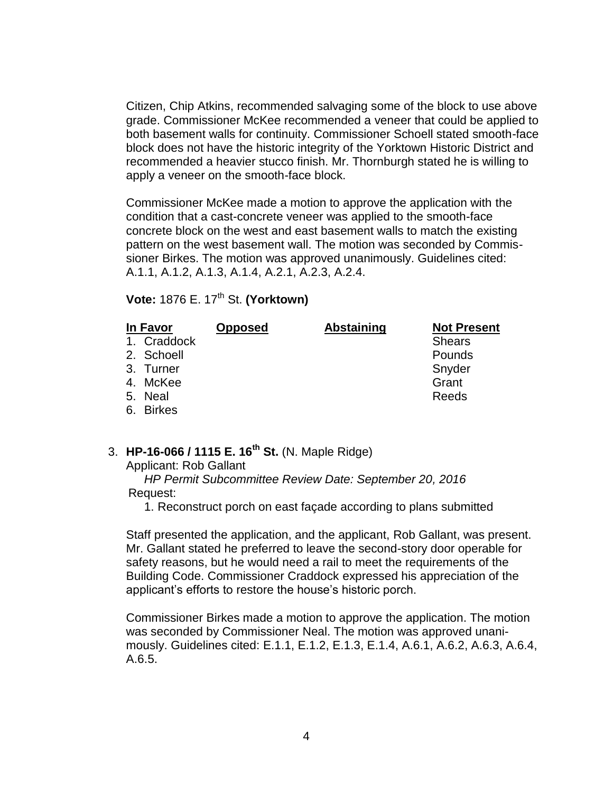Citizen, Chip Atkins, recommended salvaging some of the block to use above grade. Commissioner McKee recommended a veneer that could be applied to both basement walls for continuity. Commissioner Schoell stated smooth-face block does not have the historic integrity of the Yorktown Historic District and recommended a heavier stucco finish. Mr. Thornburgh stated he is willing to apply a veneer on the smooth-face block.

Commissioner McKee made a motion to approve the application with the condition that a cast-concrete veneer was applied to the smooth-face concrete block on the west and east basement walls to match the existing pattern on the west basement wall. The motion was seconded by Commissioner Birkes. The motion was approved unanimously. Guidelines cited: A.1.1, A.1.2, A.1.3, A.1.4, A.2.1, A.2.3, A.2.4.

**Vote: 1876 E. 17<sup>th</sup> St. (Yorktown)** 

| In Favor    | <b>Opposed</b> | <b>Abstaining</b> | <b>Not Present</b> |
|-------------|----------------|-------------------|--------------------|
| 1. Craddock |                |                   | <b>Shears</b>      |
| 2. Schoell  |                |                   | Pounds             |
| 3. Turner   |                |                   | Snyder             |
| 4. McKee    |                |                   | Grant              |
| 5. Neal     |                |                   | Reeds              |
| 6. Birkes   |                |                   |                    |

# 3. **HP-16-066 / 1115 E. 16th St.** (N. Maple Ridge)

Applicant: Rob Gallant

 *HP Permit Subcommittee Review Date: September 20, 2016* Request:

1. Reconstruct porch on east façade according to plans submitted

Staff presented the application, and the applicant, Rob Gallant, was present. Mr. Gallant stated he preferred to leave the second-story door operable for safety reasons, but he would need a rail to meet the requirements of the Building Code. Commissioner Craddock expressed his appreciation of the applicant's efforts to restore the house's historic porch.

Commissioner Birkes made a motion to approve the application. The motion was seconded by Commissioner Neal. The motion was approved unanimously. Guidelines cited: E.1.1, E.1.2, E.1.3, E.1.4, A.6.1, A.6.2, A.6.3, A.6.4, A.6.5.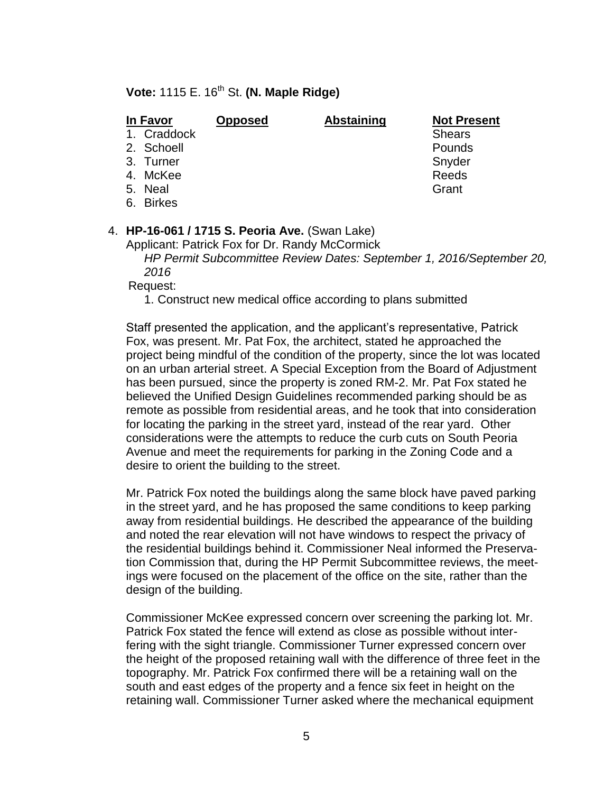**Vote:** 1115 E. 16<sup>th</sup> St. **(N. Maple Ridge)** 

| In Favor    | <b>Opposed</b> | <b>Abstaining</b> | <b>Not Present</b> |
|-------------|----------------|-------------------|--------------------|
| 1. Craddock |                |                   | <b>Shears</b>      |
| 2. Schoell  |                |                   | Pounds             |
| 3. Turner   |                |                   | Snyder             |
| 4. McKee    |                |                   | Reeds              |
| 5. Neal     |                |                   | Grant              |
| 6. Birkes   |                |                   |                    |
|             |                |                   |                    |

#### 4. **HP-16-061 / 1715 S. Peoria Ave.** (Swan Lake)

Applicant: Patrick Fox for Dr. Randy McCormick

*HP Permit Subcommittee Review Dates: September 1, 2016/September 20, 2016*

Request:

1. Construct new medical office according to plans submitted

Staff presented the application, and the applicant's representative, Patrick Fox, was present. Mr. Pat Fox, the architect, stated he approached the project being mindful of the condition of the property, since the lot was located on an urban arterial street. A Special Exception from the Board of Adjustment has been pursued, since the property is zoned RM-2. Mr. Pat Fox stated he believed the Unified Design Guidelines recommended parking should be as remote as possible from residential areas, and he took that into consideration for locating the parking in the street yard, instead of the rear yard. Other considerations were the attempts to reduce the curb cuts on South Peoria Avenue and meet the requirements for parking in the Zoning Code and a desire to orient the building to the street.

Mr. Patrick Fox noted the buildings along the same block have paved parking in the street yard, and he has proposed the same conditions to keep parking away from residential buildings. He described the appearance of the building and noted the rear elevation will not have windows to respect the privacy of the residential buildings behind it. Commissioner Neal informed the Preservation Commission that, during the HP Permit Subcommittee reviews, the meetings were focused on the placement of the office on the site, rather than the design of the building.

Commissioner McKee expressed concern over screening the parking lot. Mr. Patrick Fox stated the fence will extend as close as possible without interfering with the sight triangle. Commissioner Turner expressed concern over the height of the proposed retaining wall with the difference of three feet in the topography. Mr. Patrick Fox confirmed there will be a retaining wall on the south and east edges of the property and a fence six feet in height on the retaining wall. Commissioner Turner asked where the mechanical equipment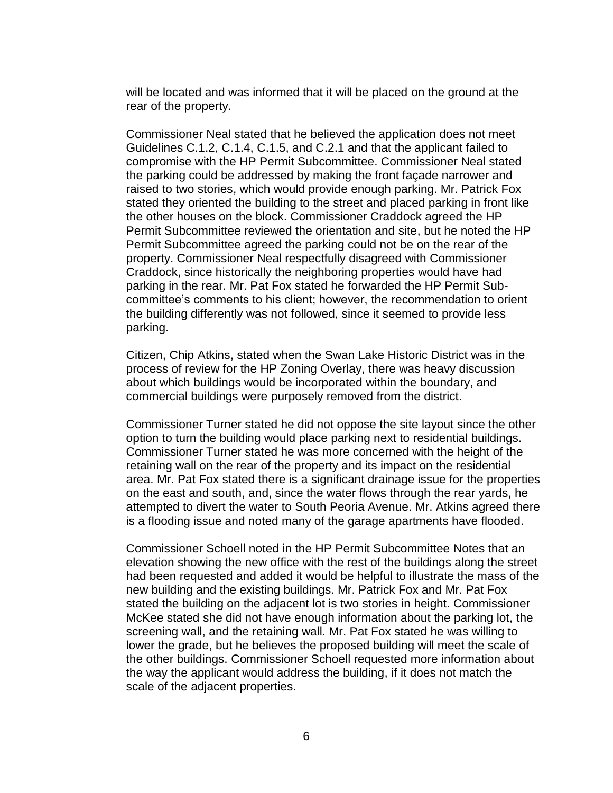will be located and was informed that it will be placed on the ground at the rear of the property.

Commissioner Neal stated that he believed the application does not meet Guidelines C.1.2, C.1.4, C.1.5, and C.2.1 and that the applicant failed to compromise with the HP Permit Subcommittee. Commissioner Neal stated the parking could be addressed by making the front façade narrower and raised to two stories, which would provide enough parking. Mr. Patrick Fox stated they oriented the building to the street and placed parking in front like the other houses on the block. Commissioner Craddock agreed the HP Permit Subcommittee reviewed the orientation and site, but he noted the HP Permit Subcommittee agreed the parking could not be on the rear of the property. Commissioner Neal respectfully disagreed with Commissioner Craddock, since historically the neighboring properties would have had parking in the rear. Mr. Pat Fox stated he forwarded the HP Permit Subcommittee's comments to his client; however, the recommendation to orient the building differently was not followed, since it seemed to provide less parking.

Citizen, Chip Atkins, stated when the Swan Lake Historic District was in the process of review for the HP Zoning Overlay, there was heavy discussion about which buildings would be incorporated within the boundary, and commercial buildings were purposely removed from the district.

Commissioner Turner stated he did not oppose the site layout since the other option to turn the building would place parking next to residential buildings. Commissioner Turner stated he was more concerned with the height of the retaining wall on the rear of the property and its impact on the residential area. Mr. Pat Fox stated there is a significant drainage issue for the properties on the east and south, and, since the water flows through the rear yards, he attempted to divert the water to South Peoria Avenue. Mr. Atkins agreed there is a flooding issue and noted many of the garage apartments have flooded.

Commissioner Schoell noted in the HP Permit Subcommittee Notes that an elevation showing the new office with the rest of the buildings along the street had been requested and added it would be helpful to illustrate the mass of the new building and the existing buildings. Mr. Patrick Fox and Mr. Pat Fox stated the building on the adjacent lot is two stories in height. Commissioner McKee stated she did not have enough information about the parking lot, the screening wall, and the retaining wall. Mr. Pat Fox stated he was willing to lower the grade, but he believes the proposed building will meet the scale of the other buildings. Commissioner Schoell requested more information about the way the applicant would address the building, if it does not match the scale of the adjacent properties.